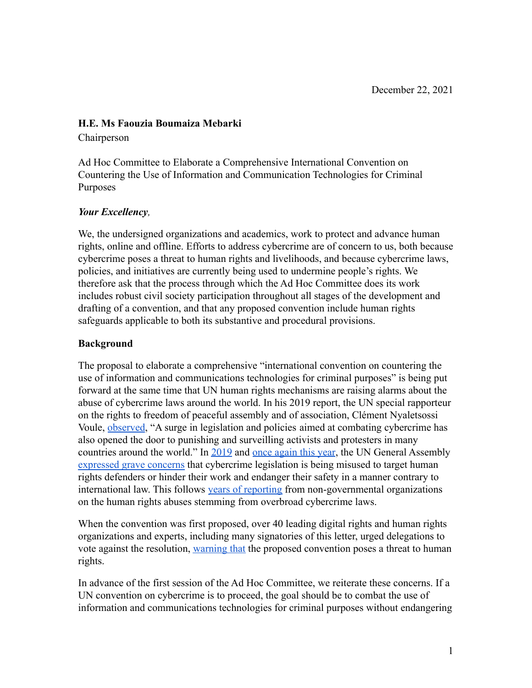### **H.E. Ms Faouzia Boumaiza Mebarki**

Chairperson

Ad Hoc Committee to Elaborate a Comprehensive International Convention on Countering the Use of Information and Communication Technologies for Criminal Purposes

### *Your Excellency,*

We, the undersigned organizations and academics, work to protect and advance human rights, online and offline. Efforts to address cybercrime are of concern to us, both because cybercrime poses a threat to human rights and livelihoods, and because cybercrime laws, policies, and initiatives are currently being used to undermine people's rights. We therefore ask that the process through which the Ad Hoc Committee does its work includes robust civil society participation throughout all stages of the development and drafting of a convention, and that any proposed convention include human rights safeguards applicable to both its substantive and procedural provisions.

### **Background**

The proposal to elaborate a comprehensive "international convention on countering the use of information and communications technologies for criminal purposes" is being put forward at the same time that UN human rights mechanisms are raising alarms about the abuse of cybercrime laws around the world. In his 2019 report, the UN special rapporteur on the rights to freedom of peaceful assembly and of association, Clément Nyaletsossi Voule, [observed](https://ap.ohchr.org/documents/dpage_e.aspx?si=A/HRC/41/41), "A surge in legislation and policies aimed at combating cybercrime has also opened the door to punishing and surveilling activists and protesters in many countries around the world." In [2019](https://undocs.org/en/A/RES/74/146) and [once again](https://undocs.org/A/C.3/76/L.51/Rev.1) this year, the UN General Assembly [expressed grave concerns](https://undocs.org/en/A/RES/74/146) that cybercrime legislation is being misused to target human rights defenders or hinder their work and endanger their safety in a manner contrary to international law. This follows [years of reporting](https://www.hrw.org/news/2021/05/05/abuse-cybercrime-measures-taints-un-talks) from non-governmental organizations on the human rights abuses stemming from overbroad cybercrime laws.

When the convention was first proposed, over 40 leading digital rights and human rights organizations and experts, including many signatories of this letter, urged delegations to vote against the resolution, [warning that](https://www.apc.org/en/pubs/open-letter-un-general-assembly-proposed-international-convention-cybercrime-poses-threat-human) the proposed convention poses a threat to human rights.

In advance of the first session of the Ad Hoc Committee, we reiterate these concerns. If a UN convention on cybercrime is to proceed, the goal should be to combat the use of information and communications technologies for criminal purposes without endangering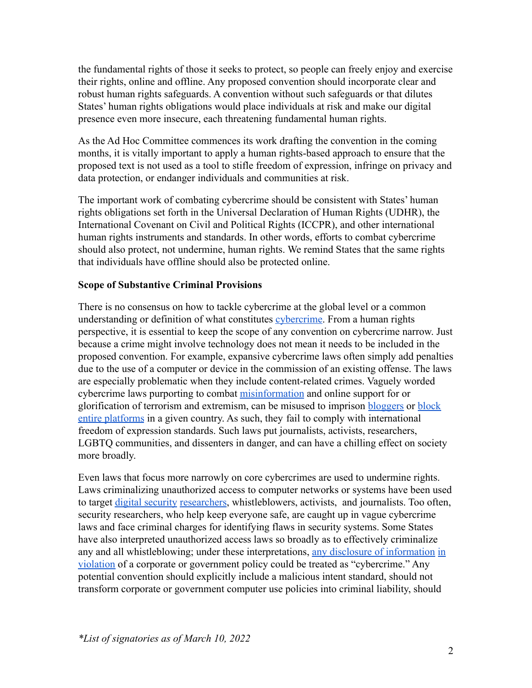the fundamental rights of those it seeks to protect, so people can freely enjoy and exercise their rights, online and offline. Any proposed convention should incorporate clear and robust human rights safeguards. A convention without such safeguards or that dilutes States' human rights obligations would place individuals at risk and make our digital presence even more insecure, each threatening fundamental human rights.

As the Ad Hoc Committee commences its work drafting the convention in the coming months, it is vitally important to apply a human rights-based approach to ensure that the proposed text is not used as a tool to stifle freedom of expression, infringe on privacy and data protection, or endanger individuals and communities at risk.

The important work of combating cybercrime should be consistent with States' human rights obligations set forth in the Universal Declaration of Human Rights (UDHR), the International Covenant on Civil and Political Rights (ICCPR), and other international human rights instruments and standards. In other words, efforts to combat cybercrime should also protect, not undermine, human rights. We remind States that the same rights that individuals have offline should also be protected online.

### **Scope of Substantive Criminal Provisions**

There is no consensus on how to tackle cybercrime at the global level or a common understanding or definition of what constitutes [cybercrime](https://www.unodc.org/documents/organized-crime/UNODC_CCPCJ_EG.4_2013/CYBERCRIME_STUDY_210213.pdf). From a human rights perspective, it is essential to keep the scope of any convention on cybercrime narrow. Just because a crime might involve technology does not mean it needs to be included in the proposed convention. For example, expansive cybercrime laws often simply add penalties due to the use of a computer or device in the commission of an existing offense. The laws are especially problematic when they include content-related crimes. Vaguely worded cybercrime laws purporting to combat [misinformation](https://www.article19.org/resources/thailand-fake-news-undermine-freedom-of-expression/) and online support for or glorification of terrorism and extremism, can be misused to imprison [bloggers](https://www.article19.org/resources/egypt-end-harassment-of-rights-defender/) or [block](https://www.accessnow.org/egyptian-parliament-approves-cybercrime-law-legalizing-blocking-of-websites-and-full-surveillance-of-egyptians/) [entire platforms](https://www.accessnow.org/egyptian-parliament-approves-cybercrime-law-legalizing-blocking-of-websites-and-full-surveillance-of-egyptians/) in a given country. As such, they fail to comply with international freedom of expression standards. Such laws put journalists, activists, researchers, LGBTQ communities, and dissenters in danger, and can have a chilling effect on society more broadly.

Even laws that focus more narrowly on core cybercrimes are used to undermine rights. Laws criminalizing unauthorized access to computer networks or systems have been used to target [digital security](https://www.eff.org/deeplinks/2021/06/eff-ecuadors-human-rights-secretariat-protecting-security-experts-vital-safeguard) [researchers](https://www.eff.org/deeplinks/2019/11/raid-javier-smaldone-argentinian-authorities-have-restarted-their-harassment-e), whistleblowers, activists, and journalists. Too often, security researchers, who help keep everyone safe, are caught up in vague cybercrime laws and face criminal charges for identifying flaws in security systems. Some States have also interpreted unauthorized access laws so broadly as to effectively criminalize any and all whistleblowing; under these interpretations, [any disclosure of information](https://nationalpost.com/news/canada/u-s-whistleblower-chelsea-manning-challenging-secrecy-laws-barring-her-from-canada) [in](https://www.eff.org/document/us-v-chelsea-manning-eff-amicus-brief) [violation](https://www.eff.org/document/us-v-chelsea-manning-eff-amicus-brief) of a corporate or government policy could be treated as "cybercrime." Any potential convention should explicitly include a malicious intent standard, should not transform corporate or government computer use policies into criminal liability, should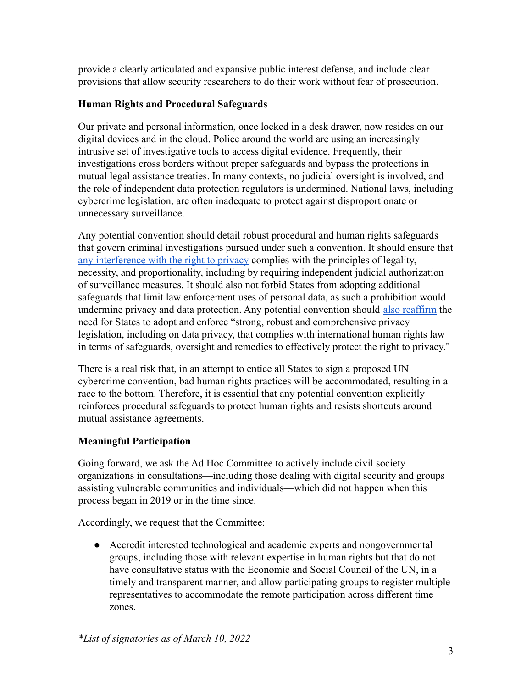provide a clearly articulated and expansive public interest defense, and include clear provisions that allow security researchers to do their work without fear of prosecution.

## **Human Rights and Procedural Safeguards**

Our private and personal information, once locked in a desk drawer, now resides on our digital devices and in the cloud. Police around the world are using an increasingly intrusive set of investigative tools to access digital evidence. Frequently, their investigations cross borders without proper safeguards and bypass the protections in mutual legal assistance treaties. In many contexts, no judicial oversight is involved, and the role of independent data protection regulators is undermined. National laws, including cybercrime legislation, are often inadequate to protect against disproportionate or unnecessary surveillance.

Any potential convention should detail robust procedural and human rights safeguards that govern criminal investigations pursued under such a convention. It should ensure that [any interference with the right to privacy](https://necessaryandproportionate.org/principles/) complies with the principles of legality, necessity, and proportionality, including by requiring independent judicial authorization of surveillance measures. It should also not forbid States from adopting additional safeguards that limit law enforcement uses of personal data, as such a prohibition would undermine privacy and data protection. Any potential convention should [also reaffirm](https://www.ohchr.org/Documents/Issues/DigitalAge/ReportPrivacyinDigitalAge/A_HRC_39_29_EN.pdf) the need for States to adopt and enforce "strong, robust and comprehensive privacy legislation, including on data privacy, that complies with international human rights law in terms of safeguards, oversight and remedies to effectively protect the right to privacy."

There is a real risk that, in an attempt to entice all States to sign a proposed UN cybercrime convention, bad human rights practices will be accommodated, resulting in a race to the bottom. Therefore, it is essential that any potential convention explicitly reinforces procedural safeguards to protect human rights and resists shortcuts around mutual assistance agreements.

# **Meaningful Participation**

Going forward, we ask the Ad Hoc Committee to actively include civil society organizations in consultations—including those dealing with digital security and groups assisting vulnerable communities and individuals—which did not happen when this process began in 2019 or in the time since.

Accordingly, we request that the Committee:

● Accredit interested technological and academic experts and nongovernmental groups, including those with relevant expertise in human rights but that do not have consultative status with the Economic and Social Council of the UN, in a timely and transparent manner, and allow participating groups to register multiple representatives to accommodate the remote participation across different time zones.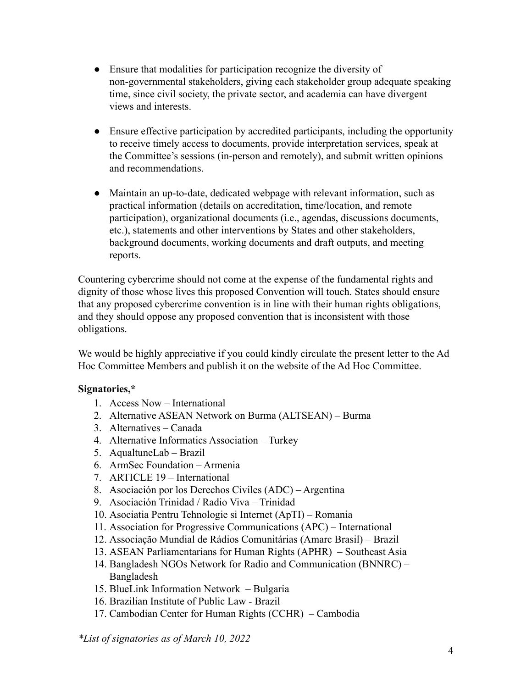- Ensure that modalities for participation recognize the diversity of non-governmental stakeholders, giving each stakeholder group adequate speaking time, since civil society, the private sector, and academia can have divergent views and interests.
- Ensure effective participation by accredited participants, including the opportunity to receive timely access to documents, provide interpretation services, speak at the Committee's sessions (in-person and remotely), and submit written opinions and recommendations.
- Maintain an up-to-date, dedicated webpage with relevant information, such as practical information (details on accreditation, time/location, and remote participation), organizational documents (i.e., agendas, discussions documents, etc.), statements and other interventions by States and other stakeholders, background documents, working documents and draft outputs, and meeting reports.

Countering cybercrime should not come at the expense of the fundamental rights and dignity of those whose lives this proposed Convention will touch. States should ensure that any proposed cybercrime convention is in line with their human rights obligations, and they should oppose any proposed convention that is inconsistent with those obligations.

We would be highly appreciative if you could kindly circulate the present letter to the Ad Hoc Committee Members and publish it on the website of the Ad Hoc Committee.

### **Signatories,\***

- 1. Access Now International
- 2. Alternative ASEAN Network on Burma (ALTSEAN) Burma
- 3. Alternatives Canada
- 4. Alternative Informatics Association Turkey
- 5. AqualtuneLab Brazil
- 6. ArmSec Foundation Armenia
- 7. ARTICLE 19 International
- 8. Asociación por los Derechos Civiles (ADC) Argentina
- 9. Asociación Trinidad / Radio Viva Trinidad
- 10. Asociatia Pentru Tehnologie si Internet (ApTI) Romania
- 11. Association for Progressive Communications (APC) International
- 12. Associação Mundial de Rádios Comunitárias (Amarc Brasil) Brazil
- 13. ASEAN Parliamentarians for Human Rights (APHR) Southeast Asia
- 14. Bangladesh NGOs Network for Radio and Communication (BNNRC) Bangladesh
- 15. BlueLink Information Network Bulgaria
- 16. Brazilian Institute of Public Law Brazil
- 17. Cambodian Center for Human Rights (CCHR) Cambodia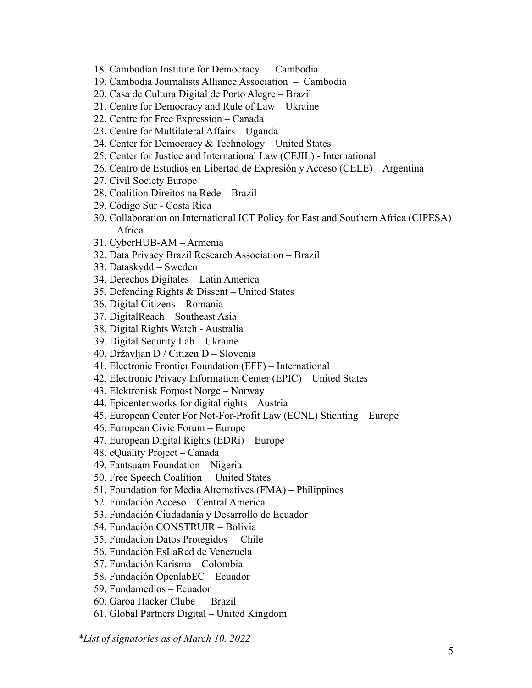- 18. Cambodian Institute for Democracy Cambodia
- 19. Cambodia Journalists Alliance Association Cambodia
- 20. Casa de Cultura Digital de Porto Alegre Brazil
- 21. Centre for Democracy and Rule of Law Ukraine
- 22. Centre for Free Expression Canada
- 23. Centre for Multilateral Affairs Uganda
- 24. Center for Democracy  $&$  Technology United States
- 25. Center for Justice and International Law (CEJIL) International
- 26. Centro de Estudios en Libertad de Expresión y Acceso (CELE) Argentina
- 27. Civil Society Europe
- 28. Coalition Direitos na Rede Brazil
- 29. Código Sur Costa Rica
- 30. Collaboration on International ICT Policy for East and Southern Africa (CIPESA) – Africa
- 31. CyberHUB-AM Armenia
- 32. Data Privacy Brazil Research Association Brazil
- 33. Dataskydd Sweden
- 34. Derechos Digitales Latin America
- 35. Defending Rights & Dissent United States
- 36. Digital Citizens Romania
- 37. DigitalReach Southeast Asia
- 38. Digital Rights Watch Australia
- 39. Digital Security Lab Ukraine
- 40. Državljan D / Citizen D Slovenia
- 41. Electronic Frontier Foundation (EFF) International
- 42. Electronic Privacy Information Center (EPIC) United States
- 43. Elektronisk Forpost Norge Norway
- 44. Epicenter.works for digital rights Austria
- 45. European Center For Not-For-Profit Law (ECNL) Stichting Europe
- 46. European Civic Forum Europe
- 47. European Digital Rights (EDRi) Europe
- 48. eQuality Project Canada
- 49. Fantsuam Foundation Nigeria
- 50. Free Speech Coalition United States
- 51. Foundation for Media Alternatives (FMA) Philippines
- 52. Fundación Acceso Central America
- 53. Fundación Ciudadanía y Desarrollo de Ecuador
- 54. Fundación CONSTRUIR Bolivia
- 55. Fundacion Datos Protegidos Chile
- 56. Fundación EsLaRed de Venezuela
- 57. Fundación Karisma Colombia
- 58. Fundación OpenlabEC Ecuador
- 59. Fundamedios Ecuador
- 60. Garoa Hacker Clube Brazil
- 61. Global Partners Digital United Kingdom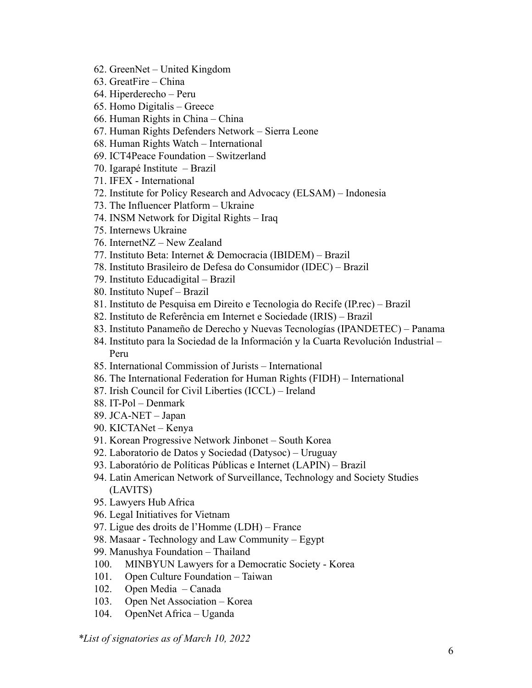- 62. GreenNet United Kingdom
- 63. GreatFire China
- 64. Hiperderecho Peru
- 65. Homo Digitalis Greece
- 66. Human Rights in China China
- 67. Human Rights Defenders Network Sierra Leone
- 68. Human Rights Watch International
- 69. ICT4Peace Foundation Switzerland
- 70. Igarapé Institute Brazil
- 71. IFEX International
- 72. Institute for Policy Research and Advocacy (ELSAM) Indonesia
- 73. The Influencer Platform Ukraine
- 74. INSM Network for Digital Rights Iraq
- 75. Internews Ukraine
- 76. InternetNZ New Zealand
- 77. Instituto Beta: Internet & Democracia (IBIDEM) Brazil
- 78. Instituto Brasileiro de Defesa do Consumidor (IDEC) Brazil
- 79. Instituto Educadigital Brazil
- 80. Instituto Nupef Brazil
- 81. Instituto de Pesquisa em Direito e Tecnologia do Recife (IP.rec) Brazil
- 82. Instituto de Referência em Internet e Sociedade (IRIS) Brazil
- 83. Instituto Panameño de Derecho y Nuevas Tecnologías (IPANDETEC) Panama
- 84. Instituto para la Sociedad de la Información y la Cuarta Revolución Industrial Peru
- 85. International Commission of Jurists International
- 86. The International Federation for Human Rights (FIDH) International
- 87. Irish Council for Civil Liberties (ICCL) Ireland
- 88. IT-Pol Denmark
- 89. JCA-NET Japan
- 90. KICTANet Kenya
- 91. Korean Progressive Network Jinbonet South Korea
- 92. Laboratorio de Datos y Sociedad (Datysoc) Uruguay
- 93. Laboratório de Políticas Públicas e Internet (LAPIN) Brazil
- 94. Latin American Network of Surveillance, Technology and Society Studies (LAVITS)
- 95. Lawyers Hub Africa
- 96. Legal Initiatives for Vietnam
- 97. Ligue des droits de l'Homme (LDH) France
- 98. Masaar Technology and Law Community Egypt
- 99. Manushya Foundation Thailand
- 100. MINBYUN Lawyers for a Democratic Society Korea
- 101. Open Culture Foundation Taiwan
- 102. Open Media Canada
- 103. Open Net Association Korea
- 104. OpenNet Africa Uganda

*\*List of signatories as of March 10, 2022*